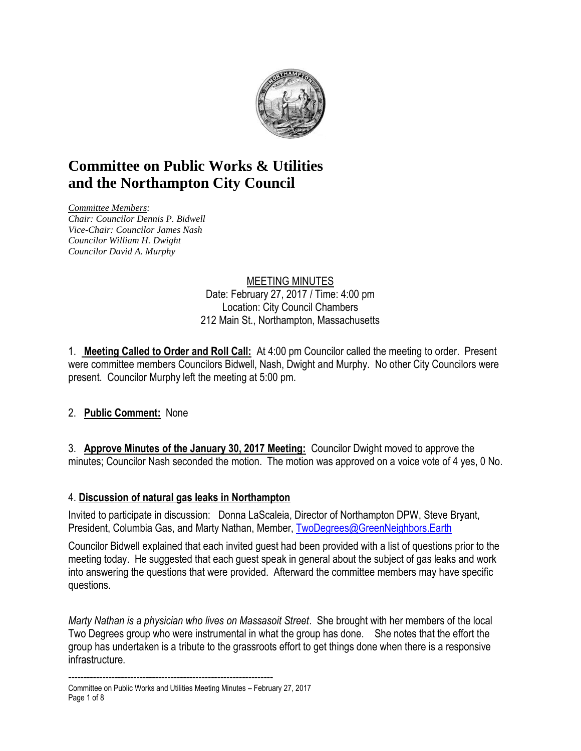

# **Committee on Public Works & Utilities and the Northampton City Council**

*Committee Members: Chair: Councilor Dennis P. Bidwell Vice-Chair: Councilor James Nash Councilor William H. Dwight Councilor David A. Murphy*

#### MEETING MINUTES Date: February 27, 2017 / Time: 4:00 pm Location: City Council Chambers 212 Main St., Northampton, Massachusetts

1. **Meeting Called to Order and Roll Call:** At 4:00 pm Councilor called the meeting to order. Present were committee members Councilors Bidwell, Nash, Dwight and Murphy. No other City Councilors were present. Councilor Murphy left the meeting at 5:00 pm.

## 2. **Public Comment:** None

3. **Approve Minutes of the January 30, 2017 Meeting:** Councilor Dwight moved to approve the minutes; Councilor Nash seconded the motion. The motion was approved on a voice vote of 4 yes, 0 No.

## 4. **Discussion of natural gas leaks in Northampton**

Invited to participate in discussion: Donna LaScaleia, Director of Northampton DPW, Steve Bryant, President, Columbia Gas, and Marty Nathan, Member, [TwoDegrees@GreenNeighbors.Earth](mailto:TwoDegrees@GreenNeighbors.Earth)

Councilor Bidwell explained that each invited guest had been provided with a list of questions prior to the meeting today. He suggested that each guest speak in general about the subject of gas leaks and work into answering the questions that were provided. Afterward the committee members may have specific questions.

*Marty Nathan is a physician who lives on Massasoit Street*. She brought with her members of the local Two Degrees group who were instrumental in what the group has done. She notes that the effort the group has undertaken is a tribute to the grassroots effort to get things done when there is a responsive infrastructure.

------------------------------------------------------------------ Committee on Public Works and Utilities Meeting Minutes – February 27, 2017 Page 1 of 8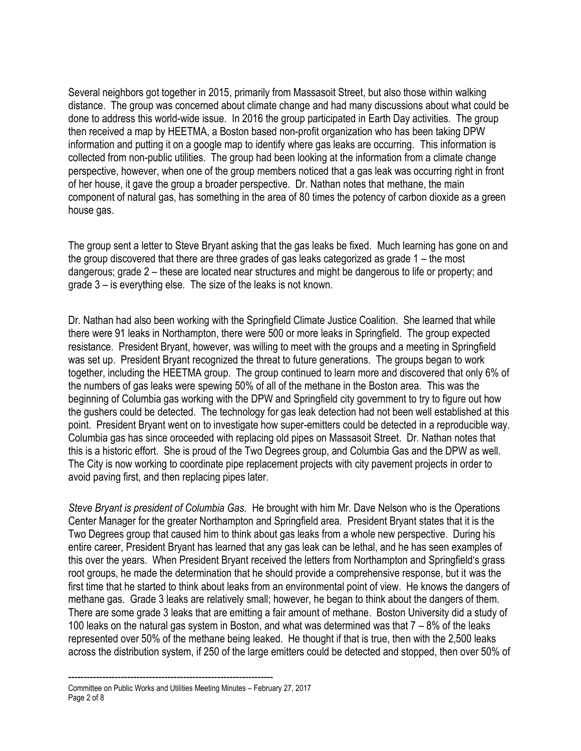Several neighbors got together in 2015, primarily from Massasoit Street, but also those within walking distance. The group was concerned about climate change and had many discussions about what could be done to address this world-wide issue. In 2016 the group participated in Earth Day activities. The group then received a map by HEETMA, a Boston based non-profit organization who has been taking DPW information and putting it on a google map to identify where gas leaks are occurring. This information is collected from non-public utilities. The group had been looking at the information from a climate change perspective, however, when one of the group members noticed that a gas leak was occurring right in front of her house, it gave the group a broader perspective. Dr. Nathan notes that methane, the main component of natural gas, has something in the area of 80 times the potency of carbon dioxide as a green house gas.

The group sent a letter to Steve Bryant asking that the gas leaks be fixed. Much learning has gone on and the group discovered that there are three grades of gas leaks categorized as grade 1 – the most dangerous; grade 2 – these are located near structures and might be dangerous to life or property; and grade 3 – is everything else. The size of the leaks is not known.

Dr. Nathan had also been working with the Springfield Climate Justice Coalition. She learned that while there were 91 leaks in Northampton, there were 500 or more leaks in Springfield. The group expected resistance. President Bryant, however, was willing to meet with the groups and a meeting in Springfield was set up. President Bryant recognized the threat to future generations. The groups began to work together, including the HEETMA group. The group continued to learn more and discovered that only 6% of the numbers of gas leaks were spewing 50% of all of the methane in the Boston area. This was the beginning of Columbia gas working with the DPW and Springfield city government to try to figure out how the gushers could be detected. The technology for gas leak detection had not been well established at this point. President Bryant went on to investigate how super-emitters could be detected in a reproducible way. Columbia gas has since oroceeded with replacing old pipes on Massasoit Street. Dr. Nathan notes that this is a historic effort. She is proud of the Two Degrees group, and Columbia Gas and the DPW as well. The City is now working to coordinate pipe replacement projects with city pavement projects in order to avoid paving first, and then replacing pipes later.

*Steve Bryant is president of Columbia Gas.* He brought with him Mr. Dave Nelson who is the Operations Center Manager for the greater Northampton and Springfield area. President Bryant states that it is the Two Degrees group that caused him to think about gas leaks from a whole new perspective. During his entire career, President Bryant has learned that any gas leak can be lethal, and he has seen examples of this over the years. When President Bryant received the letters from Northampton and Springfield's grass root groups, he made the determination that he should provide a comprehensive response, but it was the first time that he started to think about leaks from an environmental point of view. He knows the dangers of methane gas. Grade 3 leaks are relatively small; however, he began to think about the dangers of them. There are some grade 3 leaks that are emitting a fair amount of methane. Boston University did a study of 100 leaks on the natural gas system in Boston, and what was determined was that  $7 - 8\%$  of the leaks represented over 50% of the methane being leaked. He thought if that is true, then with the 2,500 leaks across the distribution system, if 250 of the large emitters could be detected and stopped, then over 50% of

<sup>------------------------------------------------------------------</sup> Committee on Public Works and Utilities Meeting Minutes – February 27, 2017 Page 2 of 8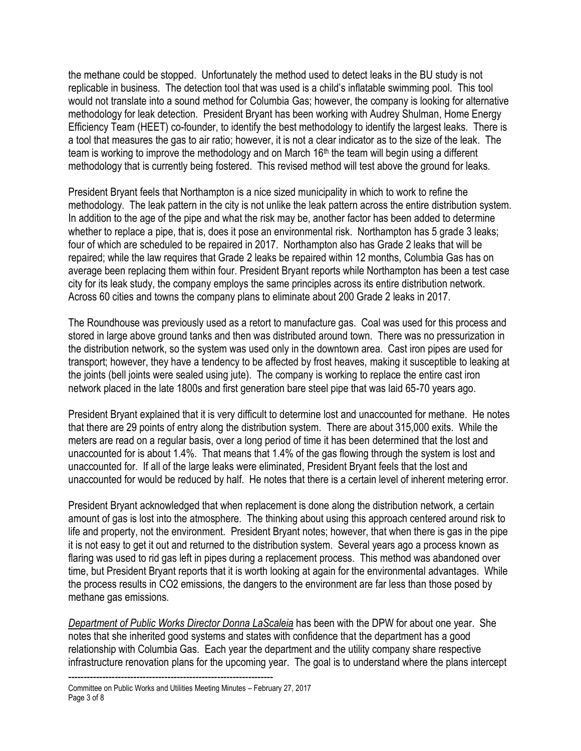the methane could be stopped. Unfortunately the method used to detect leaks in the BU study is not replicable in business. The detection tool that was used is a child's inflatable swimming pool. This tool would not translate into a sound method for Columbia Gas; however, the company is looking for alternative methodology for leak detection. President Bryant has been working with Audrey Shulman, Home Energy Efficiency Team (HEET) co-founder, to identify the best methodology to identify the largest leaks. There is a tool that measures the gas to air ratio; however, it is not a clear indicator as to the size of the leak. The team is working to improve the methodology and on March 16<sup>th</sup> the team will begin using a different methodology that is currently being fostered. This revised method will test above the ground for leaks.

President Bryant feels that Northampton is a nice sized municipality in which to work to refine the methodology. The leak pattern in the city is not unlike the leak pattern across the entire distribution system. In addition to the age of the pipe and what the risk may be, another factor has been added to determine whether to replace a pipe, that is, does it pose an environmental risk. Northampton has 5 grade 3 leaks; four of which are scheduled to be repaired in 2017. Northampton also has Grade 2 leaks that will be repaired; while the law requires that Grade 2 leaks be repaired within 12 months, Columbia Gas has on average been replacing them within four. President Bryant reports while Northampton has been a test case city for its leak study, the company employs the same principles across its entire distribution network. Across 60 cities and towns the company plans to eliminate about 200 Grade 2 leaks in 2017.

The Roundhouse was previously used as a retort to manufacture gas. Coal was used for this process and stored in large above ground tanks and then was distributed around town. There was no pressurization in the distribution network, so the system was used only in the downtown area. Cast iron pipes are used for transport; however, they have a tendency to be affected by frost heaves, making it susceptible to leaking at the joints (bell joints were sealed using jute). The company is working to replace the entire cast iron network placed in the late 1800s and first generation bare steel pipe that was laid 65-70 years ago.

President Bryant explained that it is very difficult to determine lost and unaccounted for methane. He notes that there are 29 points of entry along the distribution system. There are about 315,000 exits. While the meters are read on a regular basis, over a long period of time it has been determined that the lost and unaccounted for is about 1.4%. That means that 1.4% of the gas flowing through the system is lost and unaccounted for. If all of the large leaks were eliminated, President Bryant feels that the lost and unaccounted for would be reduced by half. He notes that there is a certain level of inherent metering error.

President Bryant acknowledged that when replacement is done along the distribution network, a certain amount of gas is lost into the atmosphere. The thinking about using this approach centered around risk to life and property, not the environment. President Bryant notes; however, that when there is gas in the pipe it is not easy to get it out and returned to the distribution system. Several years ago a process known as flaring was used to rid gas left in pipes during a replacement process. This method was abandoned over time, but President Bryant reports that it is worth looking at again for the environmental advantages. While the process results in CO2 emissions, the dangers to the environment are far less than those posed by methane gas emissions.

*Department of Public Works Director Donna LaScaleia* has been with the DPW for about one year. She notes that she inherited good systems and states with confidence that the department has a good relationship with Columbia Gas. Each year the department and the utility company share respective infrastructure renovation plans for the upcoming year. The goal is to understand where the plans intercept

<sup>------------------------------------------------------------------</sup> Committee on Public Works and Utilities Meeting Minutes – February 27, 2017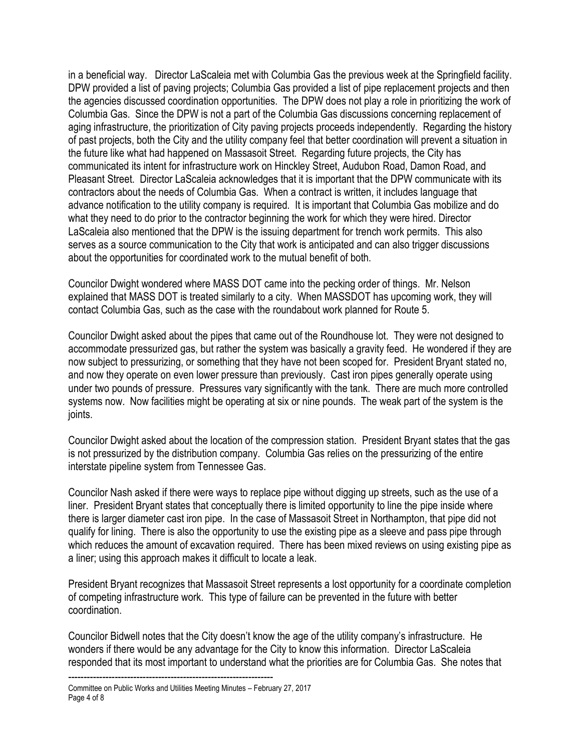in a beneficial way. Director LaScaleia met with Columbia Gas the previous week at the Springfield facility. DPW provided a list of paving projects; Columbia Gas provided a list of pipe replacement projects and then the agencies discussed coordination opportunities. The DPW does not play a role in prioritizing the work of Columbia Gas. Since the DPW is not a part of the Columbia Gas discussions concerning replacement of aging infrastructure, the prioritization of City paving projects proceeds independently. Regarding the history of past projects, both the City and the utility company feel that better coordination will prevent a situation in the future like what had happened on Massasoit Street. Regarding future projects, the City has communicated its intent for infrastructure work on Hinckley Street, Audubon Road, Damon Road, and Pleasant Street. Director LaScaleia acknowledges that it is important that the DPW communicate with its contractors about the needs of Columbia Gas. When a contract is written, it includes language that advance notification to the utility company is required. It is important that Columbia Gas mobilize and do what they need to do prior to the contractor beginning the work for which they were hired. Director LaScaleia also mentioned that the DPW is the issuing department for trench work permits. This also serves as a source communication to the City that work is anticipated and can also trigger discussions about the opportunities for coordinated work to the mutual benefit of both.

Councilor Dwight wondered where MASS DOT came into the pecking order of things. Mr. Nelson explained that MASS DOT is treated similarly to a city. When MASSDOT has upcoming work, they will contact Columbia Gas, such as the case with the roundabout work planned for Route 5.

Councilor Dwight asked about the pipes that came out of the Roundhouse lot. They were not designed to accommodate pressurized gas, but rather the system was basically a gravity feed. He wondered if they are now subject to pressurizing, or something that they have not been scoped for. President Bryant stated no, and now they operate on even lower pressure than previously. Cast iron pipes generally operate using under two pounds of pressure. Pressures vary significantly with the tank. There are much more controlled systems now. Now facilities might be operating at six or nine pounds. The weak part of the system is the joints.

Councilor Dwight asked about the location of the compression station. President Bryant states that the gas is not pressurized by the distribution company. Columbia Gas relies on the pressurizing of the entire interstate pipeline system from Tennessee Gas.

Councilor Nash asked if there were ways to replace pipe without digging up streets, such as the use of a liner. President Bryant states that conceptually there is limited opportunity to line the pipe inside where there is larger diameter cast iron pipe. In the case of Massasoit Street in Northampton, that pipe did not qualify for lining. There is also the opportunity to use the existing pipe as a sleeve and pass pipe through which reduces the amount of excavation required. There has been mixed reviews on using existing pipe as a liner; using this approach makes it difficult to locate a leak.

President Bryant recognizes that Massasoit Street represents a lost opportunity for a coordinate completion of competing infrastructure work. This type of failure can be prevented in the future with better coordination.

Councilor Bidwell notes that the City doesn't know the age of the utility company's infrastructure. He wonders if there would be any advantage for the City to know this information. Director LaScaleia responded that its most important to understand what the priorities are for Columbia Gas. She notes that

<sup>------------------------------------------------------------------</sup> Committee on Public Works and Utilities Meeting Minutes – February 27, 2017 Page 4 of 8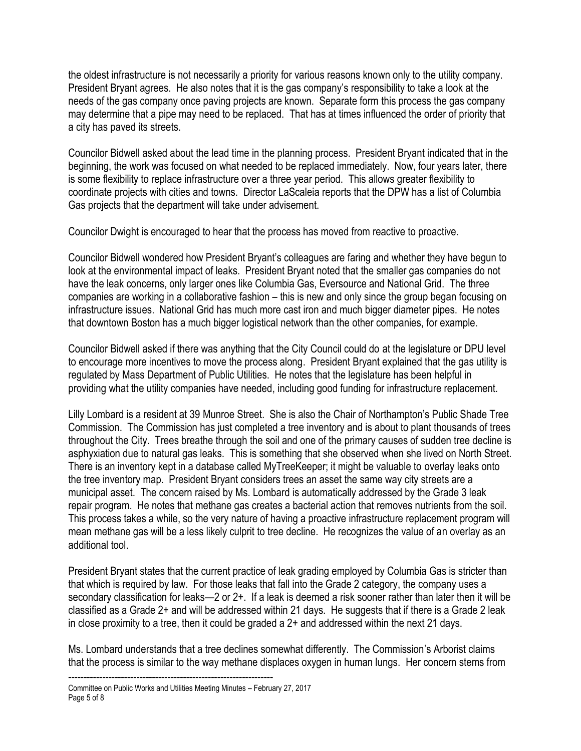the oldest infrastructure is not necessarily a priority for various reasons known only to the utility company. President Bryant agrees. He also notes that it is the gas company's responsibility to take a look at the needs of the gas company once paving projects are known. Separate form this process the gas company may determine that a pipe may need to be replaced. That has at times influenced the order of priority that a city has paved its streets.

Councilor Bidwell asked about the lead time in the planning process. President Bryant indicated that in the beginning, the work was focused on what needed to be replaced immediately. Now, four years later, there is some flexibility to replace infrastructure over a three year period. This allows greater flexibility to coordinate projects with cities and towns. Director LaScaleia reports that the DPW has a list of Columbia Gas projects that the department will take under advisement.

Councilor Dwight is encouraged to hear that the process has moved from reactive to proactive.

Councilor Bidwell wondered how President Bryant's colleagues are faring and whether they have begun to look at the environmental impact of leaks. President Bryant noted that the smaller gas companies do not have the leak concerns, only larger ones like Columbia Gas, Eversource and National Grid. The three companies are working in a collaborative fashion – this is new and only since the group began focusing on infrastructure issues. National Grid has much more cast iron and much bigger diameter pipes. He notes that downtown Boston has a much bigger logistical network than the other companies, for example.

Councilor Bidwell asked if there was anything that the City Council could do at the legislature or DPU level to encourage more incentives to move the process along. President Bryant explained that the gas utility is regulated by Mass Department of Public Utilities. He notes that the legislature has been helpful in providing what the utility companies have needed, including good funding for infrastructure replacement.

Lilly Lombard is a resident at 39 Munroe Street. She is also the Chair of Northampton's Public Shade Tree Commission. The Commission has just completed a tree inventory and is about to plant thousands of trees throughout the City. Trees breathe through the soil and one of the primary causes of sudden tree decline is asphyxiation due to natural gas leaks. This is something that she observed when she lived on North Street. There is an inventory kept in a database called MyTreeKeeper; it might be valuable to overlay leaks onto the tree inventory map. President Bryant considers trees an asset the same way city streets are a municipal asset. The concern raised by Ms. Lombard is automatically addressed by the Grade 3 leak repair program. He notes that methane gas creates a bacterial action that removes nutrients from the soil. This process takes a while, so the very nature of having a proactive infrastructure replacement program will mean methane gas will be a less likely culprit to tree decline. He recognizes the value of an overlay as an additional tool.

President Bryant states that the current practice of leak grading employed by Columbia Gas is stricter than that which is required by law. For those leaks that fall into the Grade 2 category, the company uses a secondary classification for leaks—2 or 2+. If a leak is deemed a risk sooner rather than later then it will be classified as a Grade 2+ and will be addressed within 21 days. He suggests that if there is a Grade 2 leak in close proximity to a tree, then it could be graded a 2+ and addressed within the next 21 days.

Ms. Lombard understands that a tree declines somewhat differently. The Commission's Arborist claims that the process is similar to the way methane displaces oxygen in human lungs. Her concern stems from

<sup>------------------------------------------------------------------</sup> Committee on Public Works and Utilities Meeting Minutes – February 27, 2017 Page 5 of 8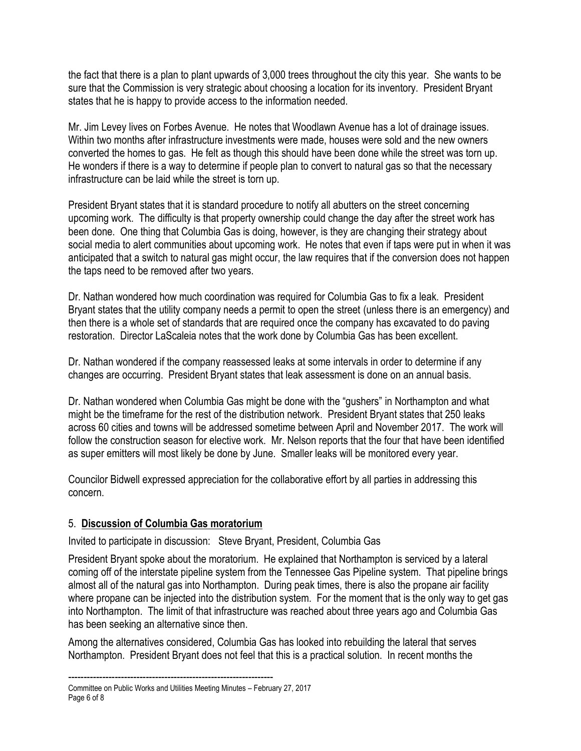the fact that there is a plan to plant upwards of 3,000 trees throughout the city this year. She wants to be sure that the Commission is very strategic about choosing a location for its inventory. President Bryant states that he is happy to provide access to the information needed.

Mr. Jim Levey lives on Forbes Avenue. He notes that Woodlawn Avenue has a lot of drainage issues. Within two months after infrastructure investments were made, houses were sold and the new owners converted the homes to gas. He felt as though this should have been done while the street was torn up. He wonders if there is a way to determine if people plan to convert to natural gas so that the necessary infrastructure can be laid while the street is torn up.

President Bryant states that it is standard procedure to notify all abutters on the street concerning upcoming work. The difficulty is that property ownership could change the day after the street work has been done. One thing that Columbia Gas is doing, however, is they are changing their strategy about social media to alert communities about upcoming work. He notes that even if taps were put in when it was anticipated that a switch to natural gas might occur, the law requires that if the conversion does not happen the taps need to be removed after two years.

Dr. Nathan wondered how much coordination was required for Columbia Gas to fix a leak. President Bryant states that the utility company needs a permit to open the street (unless there is an emergency) and then there is a whole set of standards that are required once the company has excavated to do paving restoration. Director LaScaleia notes that the work done by Columbia Gas has been excellent.

Dr. Nathan wondered if the company reassessed leaks at some intervals in order to determine if any changes are occurring. President Bryant states that leak assessment is done on an annual basis.

Dr. Nathan wondered when Columbia Gas might be done with the "gushers" in Northampton and what might be the timeframe for the rest of the distribution network. President Bryant states that 250 leaks across 60 cities and towns will be addressed sometime between April and November 2017. The work will follow the construction season for elective work. Mr. Nelson reports that the four that have been identified as super emitters will most likely be done by June. Smaller leaks will be monitored every year.

Councilor Bidwell expressed appreciation for the collaborative effort by all parties in addressing this concern.

#### 5. **Discussion of Columbia Gas moratorium**

Invited to participate in discussion: Steve Bryant, President, Columbia Gas

President Bryant spoke about the moratorium. He explained that Northampton is serviced by a lateral coming off of the interstate pipeline system from the Tennessee Gas Pipeline system. That pipeline brings almost all of the natural gas into Northampton. During peak times, there is also the propane air facility where propane can be injected into the distribution system. For the moment that is the only way to get gas into Northampton. The limit of that infrastructure was reached about three years ago and Columbia Gas has been seeking an alternative since then.

Among the alternatives considered, Columbia Gas has looked into rebuilding the lateral that serves Northampton. President Bryant does not feel that this is a practical solution. In recent months the

<sup>------------------------------------------------------------------</sup> Committee on Public Works and Utilities Meeting Minutes – February 27, 2017 Page 6 of 8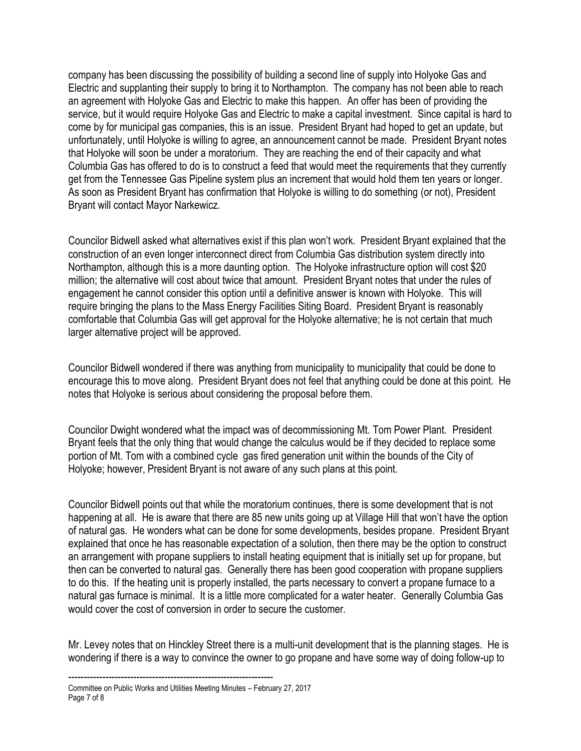company has been discussing the possibility of building a second line of supply into Holyoke Gas and Electric and supplanting their supply to bring it to Northampton. The company has not been able to reach an agreement with Holyoke Gas and Electric to make this happen. An offer has been of providing the service, but it would require Holyoke Gas and Electric to make a capital investment. Since capital is hard to come by for municipal gas companies, this is an issue. President Bryant had hoped to get an update, but unfortunately, until Holyoke is willing to agree, an announcement cannot be made. President Bryant notes that Holyoke will soon be under a moratorium. They are reaching the end of their capacity and what Columbia Gas has offered to do is to construct a feed that would meet the requirements that they currently get from the Tennessee Gas Pipeline system plus an increment that would hold them ten years or longer. As soon as President Bryant has confirmation that Holyoke is willing to do something (or not), President Bryant will contact Mayor Narkewicz.

Councilor Bidwell asked what alternatives exist if this plan won't work. President Bryant explained that the construction of an even longer interconnect direct from Columbia Gas distribution system directly into Northampton, although this is a more daunting option. The Holyoke infrastructure option will cost \$20 million; the alternative will cost about twice that amount. President Bryant notes that under the rules of engagement he cannot consider this option until a definitive answer is known with Holyoke. This will require bringing the plans to the Mass Energy Facilities Siting Board. President Bryant is reasonably comfortable that Columbia Gas will get approval for the Holyoke alternative; he is not certain that much larger alternative project will be approved.

Councilor Bidwell wondered if there was anything from municipality to municipality that could be done to encourage this to move along. President Bryant does not feel that anything could be done at this point. He notes that Holyoke is serious about considering the proposal before them.

Councilor Dwight wondered what the impact was of decommissioning Mt. Tom Power Plant. President Bryant feels that the only thing that would change the calculus would be if they decided to replace some portion of Mt. Tom with a combined cycle gas fired generation unit within the bounds of the City of Holyoke; however, President Bryant is not aware of any such plans at this point.

Councilor Bidwell points out that while the moratorium continues, there is some development that is not happening at all. He is aware that there are 85 new units going up at Village Hill that won't have the option of natural gas. He wonders what can be done for some developments, besides propane. President Bryant explained that once he has reasonable expectation of a solution, then there may be the option to construct an arrangement with propane suppliers to install heating equipment that is initially set up for propane, but then can be converted to natural gas. Generally there has been good cooperation with propane suppliers to do this. If the heating unit is properly installed, the parts necessary to convert a propane furnace to a natural gas furnace is minimal. It is a little more complicated for a water heater. Generally Columbia Gas would cover the cost of conversion in order to secure the customer.

Mr. Levey notes that on Hinckley Street there is a multi-unit development that is the planning stages. He is wondering if there is a way to convince the owner to go propane and have some way of doing follow-up to

<sup>------------------------------------------------------------------</sup> Committee on Public Works and Utilities Meeting Minutes – February 27, 2017 Page 7 of 8